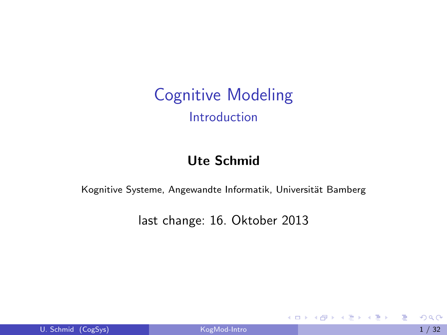Cognitive Modeling Introduction

#### Ute Schmid

Kognitive Systeme, Angewandte Informatik, Universität Bamberg

last change: 16. Oktober 2013

4 日下

→ 伊 \* ④ 重 \* ④ 重 \*

<span id="page-0-0"></span>目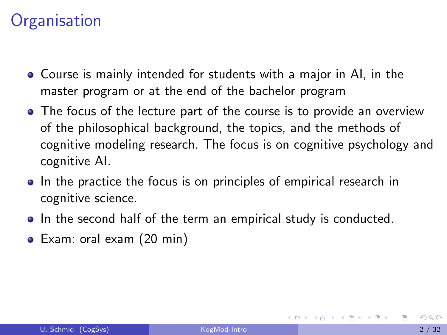#### **Organisation**

- Course is mainly intended for students with a major in AI, in the master program or at the end of the bachelor program
- The focus of the lecture part of the course is to provide an overview of the philosophical background, the topics, and the methods of cognitive modeling research. The focus is on cognitive psychology and cognitive AI.
- In the practice the focus is on principles of empirical research in cognitive science.
- In the second half of the term an empirical study is conducted.
- Exam: oral exam (20 min)

化重复 化重变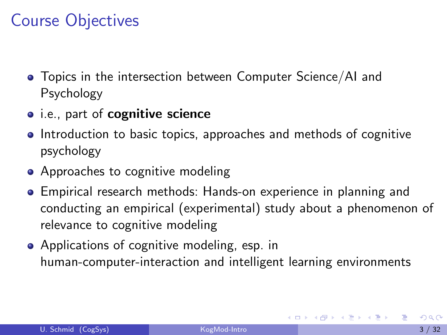## Course Objectives

- Topics in the intersection between Computer Science/AI and Psychology
- i.e., part of cognitive science
- Introduction to basic topics, approaches and methods of cognitive psychology
- Approaches to cognitive modeling
- Empirical research methods: Hands-on experience in planning and conducting an empirical (experimental) study about a phenomenon of relevance to cognitive modeling
- Applications of cognitive modeling, esp. in human-computer-interaction and intelligent learning environments

メタトメ ミトメ ミト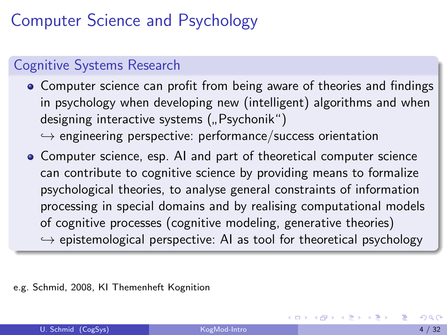## Computer Science and Psychology

#### Cognitive Systems Research

- Computer science can profit from being aware of theories and findings in psychology when developing new (intelligent) algorithms and when designing interactive systems (" Psychonik")
	- $\hookrightarrow$  engineering perspective: performance/success orientation
- Computer science, esp. AI and part of theoretical computer science can contribute to cognitive science by providing means to formalize psychological theories, to analyse general constraints of information processing in special domains and by realising computational models of cognitive processes (cognitive modeling, generative theories)  $\hookrightarrow$  epistemological perspective: AI as tool for theoretical psychology

e.g. Schmid, 2008, KI Themenheft Kognition

 $\mathcal{A} \cap \mathcal{B} \rightarrow \mathcal{A} \ni \mathcal{B} \rightarrow \mathcal{A} \ni \mathcal{B} \rightarrow \mathcal{B}$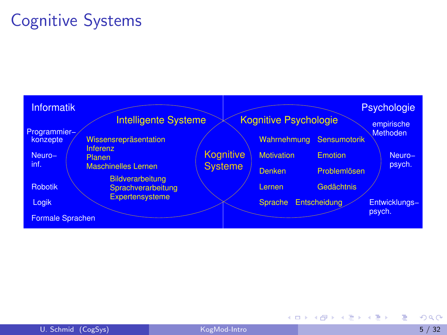## Cognitive Systems



÷.

**イロト イ母ト イヨト イヨト**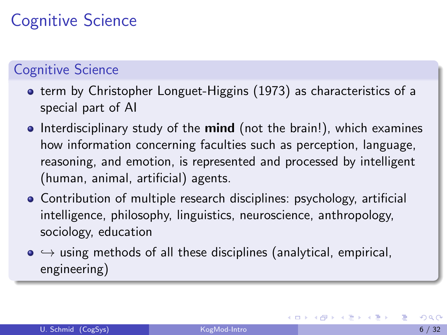# Cognitive Science

#### Cognitive Science

- **•** term by Christopher Longuet-Higgins (1973) as characteristics of a special part of AI
- $\bullet$  Interdisciplinary study of the mind (not the brain!), which examines how information concerning faculties such as perception, language, reasoning, and emotion, is represented and processed by intelligent (human, animal, artificial) agents.
- Contribution of multiple research disciplines: psychology, artificial intelligence, philosophy, linguistics, neuroscience, anthropology, sociology, education
- $\bullet \leftrightarrow$  using methods of all these disciplines (analytical, empirical, engineering)

<span id="page-5-0"></span>→ 何 ▶ → ヨ ▶ → ヨ ▶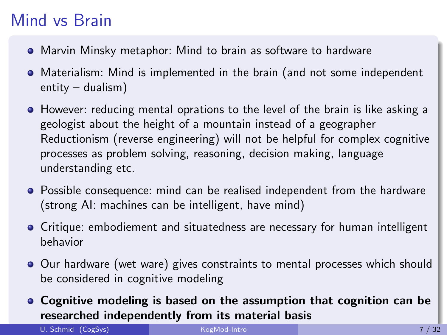## Mind vs Brain

- Marvin Minsky metaphor: Mind to brain as software to hardware
- Materialism: Mind is implemented in the brain (and not some independent entity – dualism)
- **•** However: reducing mental oprations to the level of the brain is like asking a geologist about the height of a mountain instead of a geographer Reductionism (reverse engineering) will not be helpful for complex cognitive processes as problem solving, reasoning, decision making, language understanding etc.
- Possible consequence: mind can be realised independent from the hardware (strong AI: machines can be intelligent, have mind)
- Critique: embodiement and situatedness are necessary for human intelligent behavior
- Our hardware (wet ware) gives constraints to mental processes which should be considered in cognitive modeling
- Cognitive modeling is based on the assumption that cognition can be researched independently from its material [ba](#page-5-0)[sis](#page-7-0)

U. Schmid (CogSys) **[KogMod-Intro](#page-0-0) 7 / 32**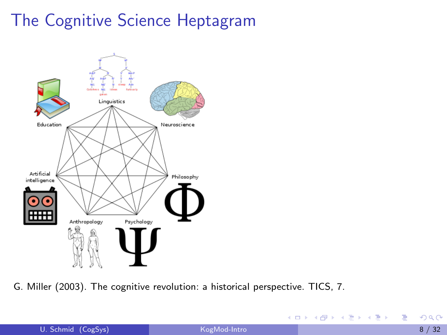## The Cognitive Science Heptagram



G. Miller (2003). The cognitive revolution: a historical perspective. TICS, 7.

<span id="page-7-0"></span>目

イロト イ押ト イヨト イヨト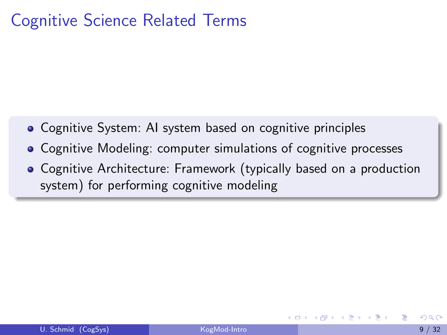### Cognitive Science Related Terms

- Cognitive System: AI system based on cognitive principles
- Cognitive Modeling: computer simulations of cognitive processes
- Cognitive Architecture: Framework (typically based on a production system) for performing cognitive modeling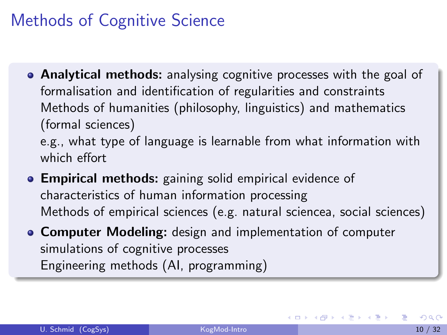## Methods of Cognitive Science

- Analytical methods: analysing cognitive processes with the goal of formalisation and identification of regularities and constraints Methods of humanities (philosophy, linguistics) and mathematics (formal sciences) e.g., what type of language is learnable from what information with which effort
- **Empirical methods:** gaining solid empirical evidence of characteristics of human information processing Methods of empirical sciences (e.g. natural sciencea, social sciences)
- **Computer Modeling:** design and implementation of computer simulations of cognitive processes Engineering methods (AI, programming)

→ 何 ▶ → ヨ ▶ → ヨ ▶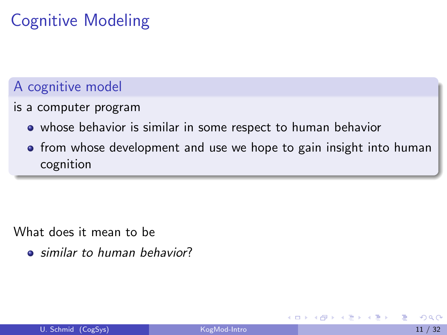# Cognitive Modeling

#### A cognitive model

is a computer program

- whose behavior is similar in some respect to human behavior
- **•** from whose development and use we hope to gain insight into human cognition

What does it mean to be

**•** similar to human behavior?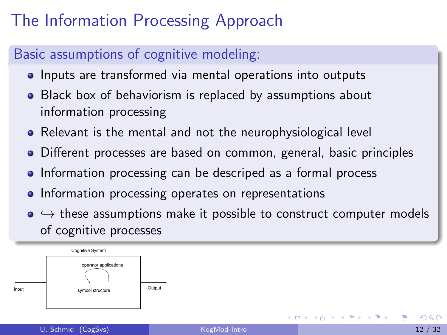# The Information Processing Approach

#### Basic assumptions of cognitive modeling:

- Inputs are transformed via mental operations into outputs
- Black box of behaviorism is replaced by assumptions about information processing
- Relevant is the mental and not the neurophysiological level
- Different processes are based on common, general, basic principles
- Information processing can be descriped as a formal process
- **•** Information processing operates on representations
- $\bullet \leftrightarrow$  these assumptions make it possible to construct computer models of cognitive processes

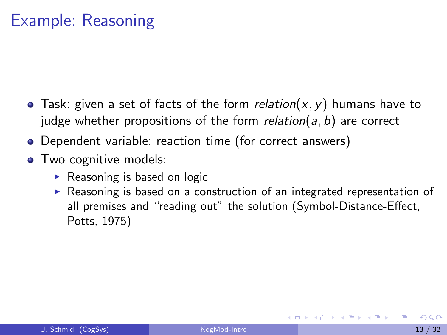## Example: Reasoning

- Task: given a set of facts of the form relation( $x, y$ ) humans have to judge whether propositions of the form  $relation(a, b)$  are correct
- Dependent variable: reaction time (for correct answers)
- Two cognitive models:
	- $\triangleright$  Reasoning is based on logic
	- $\triangleright$  Reasoning is based on a construction of an integrated representation of all premises and "reading out" the solution (Symbol-Distance-Effect, Potts, 1975)

医毛囊 医牙骨下的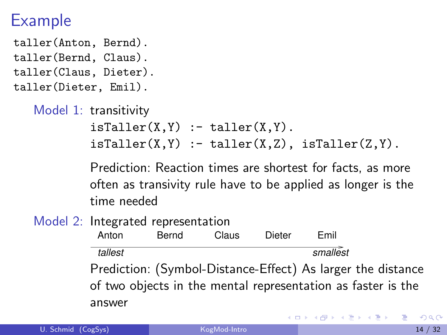#### Example

taller(Anton, Bernd). taller(Bernd, Claus). taller(Claus, Dieter). taller(Dieter, Emil).

```
Model 1: transitivity
isTaller(X,Y) :- taller(X,Y).isTaller(X,Y) :- taller(X,Z), isTaller(Z,Y).
```
Prediction: Reaction times are shortest for facts, as more often as transivity rule have to be applied as longer is the time needed

Model 2: Integrated representation

Anton Bernd Claus Dieter Emil tallest smallest

Prediction: (Symbol-Distance-Effect) As larger the distance of two objects in the mental representation as faster is the answer

メタトメ ミトメ ミト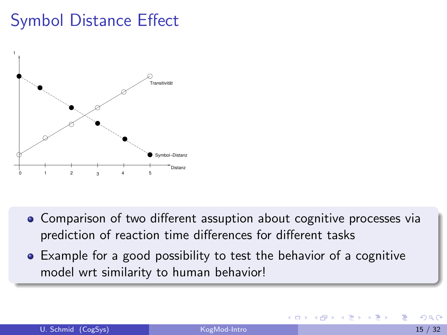## Symbol Distance Effect



- Comparison of two different assuption about cognitive processes via prediction of reaction time differences for different tasks
- Example for a good possibility to test the behavior of a cognitive model wrt similarity to human behavior!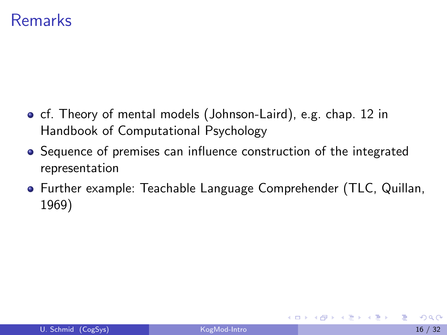#### Remarks

- **o** cf. Theory of mental models (Johnson-Laird), e.g. chap. 12 in Handbook of Computational Psychology
- Sequence of premises can influence construction of the integrated representation
- Further example: Teachable Language Comprehender (TLC, Quillan, 1969)

医阿雷氏阿雷氏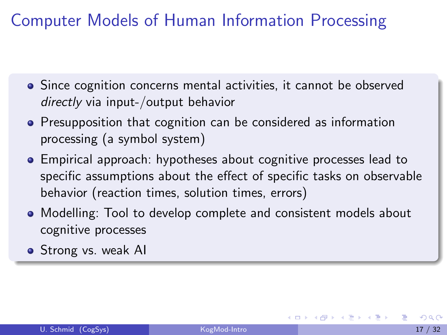Computer Models of Human Information Processing

- Since cognition concerns mental activities, it cannot be observed directly via input-/output behavior
- **•** Presupposition that cognition can be considered as information processing (a symbol system)
- Empirical approach: hypotheses about cognitive processes lead to specific assumptions about the effect of specific tasks on observable behavior (reaction times, solution times, errors)
- Modelling: Tool to develop complete and consistent models about cognitive processes
- Strong vs. weak AI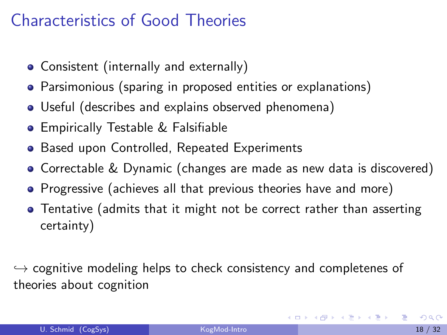## Characteristics of Good Theories

- Consistent (internally and externally)
- Parsimonious (sparing in proposed entities or explanations)
- Useful (describes and explains observed phenomena)
- **Empirically Testable & Falsifiable**
- **Based upon Controlled, Repeated Experiments**
- Correctable & Dynamic (changes are made as new data is discovered)
- Progressive (achieves all that previous theories have and more)
- Tentative (admits that it might not be correct rather than asserting certainty)

 $\hookrightarrow$  cognitive modeling helps to check consistency and completenes of theories about cognition

K ロ ▶ K 倒 ▶ K 듣 ▶ K 듣 ▶ ...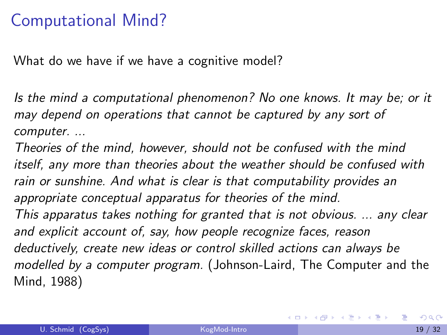#### Computational Mind?

What do we have if we have a cognitive model?

Is the mind a computational phenomenon? No one knows. It may be; or it may depend on operations that cannot be captured by any sort of computer. ...

Theories of the mind, however, should not be confused with the mind itself, any more than theories about the weather should be confused with rain or sunshine. And what is clear is that computability provides an appropriate conceptual apparatus for theories of the mind. This apparatus takes nothing for granted that is not obvious. ... any clear and explicit account of, say, how people recognize faces, reason deductively, create new ideas or control skilled actions can always be modelled by a computer program. (Johnson-Laird, The Computer and the Mind, 1988)

K ロ ▶ K 個 ▶ K 君 ▶ K 君 ▶ ...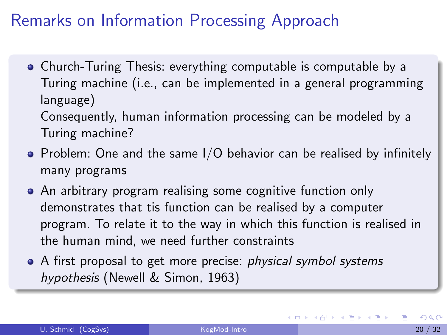### Remarks on Information Processing Approach

Church-Turing Thesis: everything computable is computable by a Turing machine (i.e., can be implemented in a general programming language) Consequently, human information processing can be modeled by a

Turing machine?

- $\bullet$  Problem: One and the same I/O behavior can be realised by infinitely many programs
- An arbitrary program realising some cognitive function only demonstrates that tis function can be realised by a computer program. To relate it to the way in which this function is realised in the human mind, we need further constraints
- A first proposal to get more precise: *physical symbol systems* hypothesis (Newell & Simon, 1963)

イロト イ押ト イヨト イヨト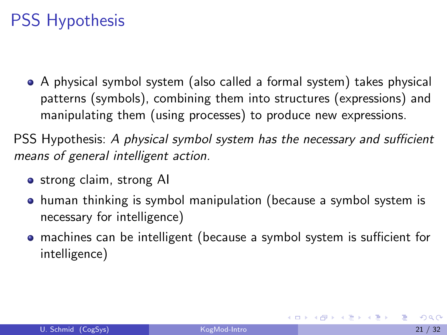## PSS Hypothesis

A physical symbol system (also called a formal system) takes physical patterns (symbols), combining them into structures (expressions) and manipulating them (using processes) to produce new expressions.

PSS Hypothesis: A physical symbol system has the necessary and sufficient means of general intelligent action.

- o strong claim, strong AI
- human thinking is symbol manipulation (because a symbol system is necessary for intelligence)
- machines can be intelligent (because a symbol system is sufficient for intelligence)

イロト イ母 トイヨ トイヨ トー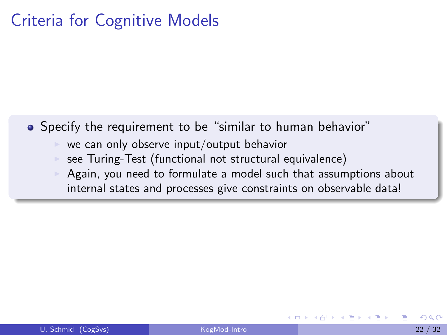#### Criteria for Cognitive Models

• Specify the requirement to be "similar to human behavior"

- we can only observe input/output behavior
- see Turing-Test (functional not structural equivalence)
- Again, you need to formulate a model such that assumptions about internal states and processes give constraints on observable data!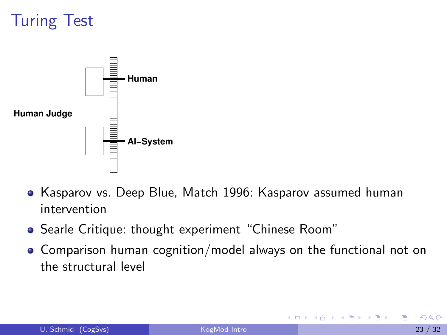# Turing Test



- Kasparov vs. Deep Blue, Match 1996: Kasparov assumed human intervention
- Searle Critique: thought experiment "Chinese Room"
- Comparison human cognition/model always on the functional not on the structural level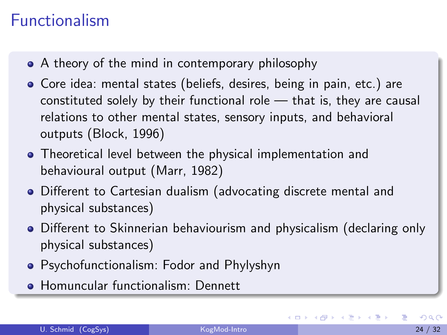## Functionalism

- A theory of the mind in contemporary philosophy
- Core idea: mental states (beliefs, desires, being in pain, etc.) are constituted solely by their functional role — that is, they are causal relations to other mental states, sensory inputs, and behavioral outputs (Block, 1996)
- Theoretical level between the physical implementation and behavioural output (Marr, 1982)
- Different to Cartesian dualism (advocating discrete mental and physical substances)
- Different to Skinnerian behaviourism and physicalism (declaring only physical substances)
- Psychofunctionalism: Fodor and Phylyshyn
- **Homuncular functionalism: Dennett**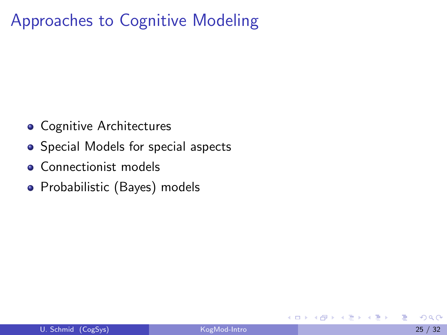## Approaches to Cognitive Modeling

- **Cognitive Architectures**
- Special Models for special aspects
- **Connectionist models**
- Probabilistic (Bayes) models

 $\leftarrow$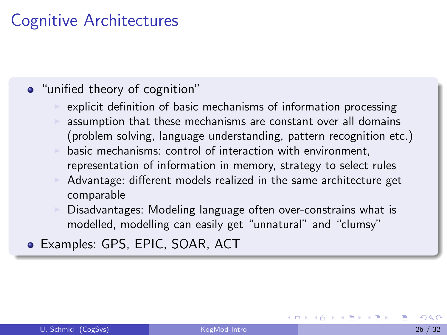### Cognitive Architectures

#### • "unified theory of cognition"

- explicit definition of basic mechanisms of information processing assumption that these mechanisms are constant over all domains (problem solving, language understanding, pattern recognition etc.)
- basic mechanisms: control of interaction with environment, representation of information in memory, strategy to select rules
- Advantage: different models realized in the same architecture get comparable
- Disadvantages: Modeling language often over-constrains what is modelled, modelling can easily get "unnatural" and "clumsy"
- Examples: GPS, EPIC, SOAR, ACT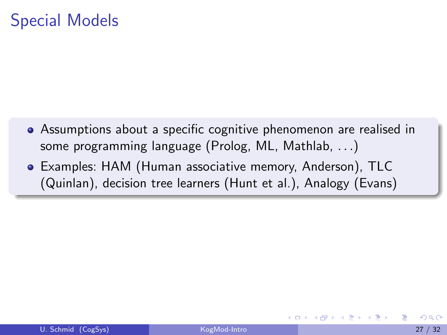#### Special Models

- Assumptions about a specific cognitive phenomenon are realised in some programming language (Prolog, ML, Mathlab, . . .)
- Examples: HAM (Human associative memory, Anderson), TLC (Quinlan), decision tree learners (Hunt et al.), Analogy (Evans)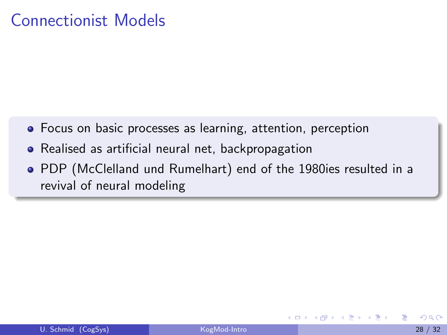#### Connectionist Models

- Focus on basic processes as learning, attention, perception
- Realised as artificial neural net, backpropagation
- PDP (McClelland und Rumelhart) end of the 1980ies resulted in a revival of neural modeling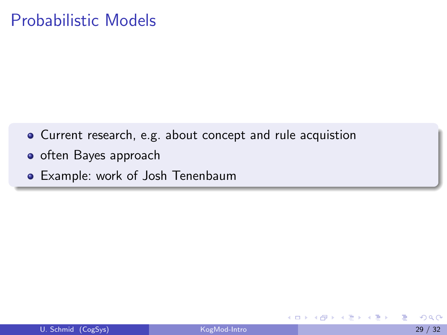#### Probabilistic Models

- Current research, e.g. about concept and rule acquistion
- o often Bayes approach
- Example: work of Josh Tenenbaum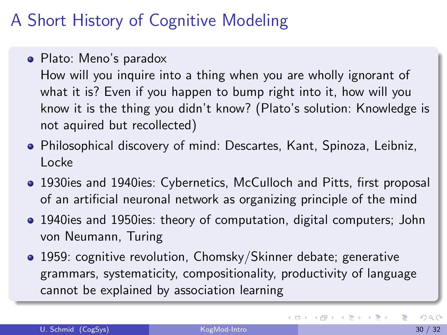## A Short History of Cognitive Modeling

Plato: Meno's paradox

How will you inquire into a thing when you are wholly ignorant of what it is? Even if you happen to bump right into it, how will you know it is the thing you didn't know? (Plato's solution: Knowledge is not aquired but recollected)

- Philosophical discovery of mind: Descartes, Kant, Spinoza, Leibniz, Locke
- 1930ies and 1940ies: Cybernetics, McCulloch and Pitts, first proposal of an artificial neuronal network as organizing principle of the mind
- 1940ies and 1950ies: theory of computation, digital computers; John von Neumann, Turing
- 1959: cognitive revolution, Chomsky/Skinner debate; generative grammars, systematicity, compositionality, productivity of language cannot be explained by association learning

イロト イ部 トイヨ トイヨト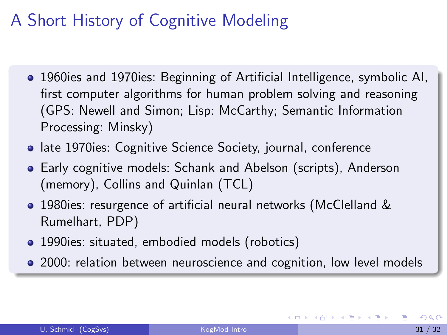# A Short History of Cognitive Modeling

- 1960ies and 1970ies: Beginning of Artificial Intelligence, symbolic AI, first computer algorithms for human problem solving and reasoning (GPS: Newell and Simon; Lisp: McCarthy; Semantic Information Processing: Minsky)
- **late 1970ies: Cognitive Science Society, journal, conference**
- Early cognitive models: Schank and Abelson (scripts), Anderson (memory), Collins and Quinlan (TCL)
- 1980ies: resurgence of artificial neural networks (McClelland & Rumelhart, PDP)
- 1990ies: situated, embodied models (robotics)
- 2000: relation between neuroscience and cognition, low level models

→ 御 ▶ → 君 ▶ → 君 ▶